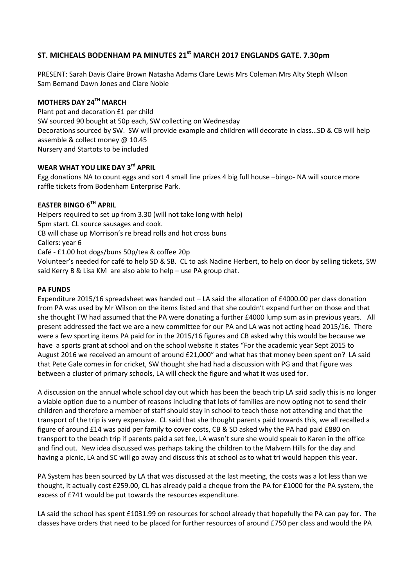# **ST. MICHEALS BODENHAM PA MINUTES 21st MARCH 2017 ENGLANDS GATE. 7.30pm**

PRESENT: Sarah Davis Claire Brown Natasha Adams Clare Lewis Mrs Coleman Mrs Alty Steph Wilson Sam Bemand Dawn Jones and Clare Noble

# **MOTHERS DAY 24TH MARCH**

Plant pot and decoration £1 per child SW sourced 90 bought at 50p each, SW collecting on Wednesday Decorations sourced by SW. SW will provide example and children will decorate in class…SD & CB will help assemble & collect money @ 10.45 Nursery and Startots to be included

### **WEAR WHAT YOU LIKE DAY 3rd APRIL**

Egg donations NA to count eggs and sort 4 small line prizes 4 big full house –bingo- NA will source more raffle tickets from Bodenham Enterprise Park.

### **EASTER BINGO 6TH APRIL**

Helpers required to set up from 3.30 (will not take long with help) 5pm start. CL source sausages and cook. CB will chase up Morrison's re bread rolls and hot cross buns Callers: year 6 Café - £1.00 hot dogs/buns 50p/tea & coffee 20p Volunteer's needed for café to help SD & SB. CL to ask Nadine Herbert, to help on door by selling tickets, SW

said Kerry B & Lisa KM are also able to help – use PA group chat.

**PA FUNDS**

Expenditure 2015/16 spreadsheet was handed out – LA said the allocation of £4000.00 per class donation from PA was used by Mr Wilson on the items listed and that she couldn't expand further on those and that she thought TW had assumed that the PA were donating a further £4000 lump sum as in previous years. All present addressed the fact we are a new committee for our PA and LA was not acting head 2015/16. There were a few sporting items PA paid for in the 2015/16 figures and CB asked why this would be because we have a sports grant at school and on the school website it states "For the academic year Sept 2015 to August 2016 we received an amount of around £21,000" and what has that money been spent on? LA said that Pete Gale comes in for cricket, SW thought she had had a discussion with PG and that figure was between a cluster of primary schools, LA will check the figure and what it was used for.

A discussion on the annual whole school day out which has been the beach trip LA said sadly this is no longer a viable option due to a number of reasons including that lots of families are now opting not to send their children and therefore a member of staff should stay in school to teach those not attending and that the transport of the trip is very expensive. CL said that she thought parents paid towards this, we all recalled a figure of around £14 was paid per family to cover costs, CB & SD asked why the PA had paid £880 on transport to the beach trip if parents paid a set fee, LA wasn't sure she would speak to Karen in the office and find out. New idea discussed was perhaps taking the children to the Malvern Hills for the day and having a picnic, LA and SC will go away and discuss this at school as to what tri would happen this year.

PA System has been sourced by LA that was discussed at the last meeting, the costs was a lot less than we thought, it actually cost £259.00, CL has already paid a cheque from the PA for £1000 for the PA system, the excess of £741 would be put towards the resources expenditure.

LA said the school has spent £1031.99 on resources for school already that hopefully the PA can pay for. The classes have orders that need to be placed for further resources of around £750 per class and would the PA